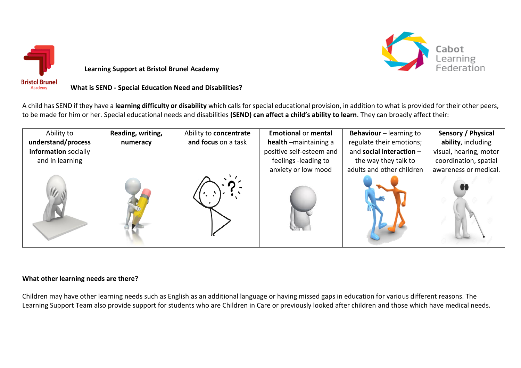

Cabot<br>Learning

**Learning Support at Bristol Brunel Academy** 

# **What is SEND - Special Education Need and Disabilities?**

A child has SEND if they have a **learning difficulty or disability** which calls for special educational provision, in addition to what is provided for their other peers, to be made for him or her. Special educational needs and disabilities **(SEND) can affect a child's ability to learn**. They can broadly affect their:

| Ability to           | Reading, writing, | Ability to concentrate | <b>Emotional or mental</b> | Behaviour - learning to   | Sensory / Physical     |
|----------------------|-------------------|------------------------|----------------------------|---------------------------|------------------------|
| understand/process   | numeracy          | and focus on a task    | health -maintaining a      | regulate their emotions;  | ability, including     |
| information socially |                   |                        | positive self-esteem and   | and social interaction -  | visual, hearing, motor |
| and in learning      |                   |                        | feelings -leading to       | the way they talk to      | coordination, spatial  |
|                      |                   |                        | anxiety or low mood        | adults and other children | awareness or medical.  |
|                      |                   |                        |                            |                           |                        |

#### **What other learning needs are there?**

Children may have other learning needs such as English as an additional language or having missed gaps in education for various different reasons. The Learning Support Team also provide support for students who are Children in Care or previously looked after children and those which have medical needs.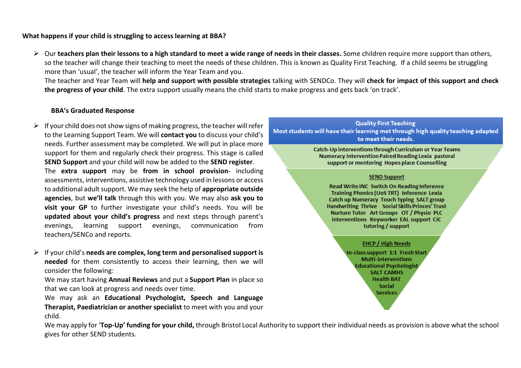## **What happens if your child is struggling to access learning at BBA?**

➢ Our **teachers plan their lessons to a high standard to meet a wide range of needs in their classes.** Some children require more support than others, so the teacher will change their teaching to meet the needs of these children. This is known as Quality First Teaching. If a child seems be struggling more than 'usual', the teacher will inform the Year Team and you.

The teacher and Year Team will **help and support with possible strategies** talking with SENDCo. They will **check for impact of this support and check the progress of your child**. The extra support usually means the child starts to make progress and gets back 'on track'.

#### **BBA's Graduated Response**

 $\triangleright$  If your child does not show signs of making progress, the teacher will refer to the Learning Support Team. We will **contact you** to discuss your child's needs. Further assessment may be completed. We will put in place more support for them and regularly check their progress. This stage is called **SEND Support** and your child will now be added to the **SEND register**.

The **extra support** may be **from in school provision**- including assessments, interventions, assistive technology used in lessons or access to additional adult support. We may seek the help of **appropriate outside agencies**, but **we'll talk** through this with you. We may also **ask you to visit your GP** to further investigate your child's needs. You will be **updated about your child's progress** and next steps through parent's evenings, learning support evenings, communication from teachers/SENCo and reports.

➢ If your child's **needs are complex, long term and personalised support is needed** for them consistently to access their learning, then we will consider the following:

We may start having **Annual Reviews** and put a **Support Plan** in place so that we can look at progress and needs over time.

We may ask an **Educational Psychologist, Speech and Language Therapist, Paediatrician or another specialist** to meet with you and your child.



We may apply for '**Top-Up' funding for your child,** through Bristol Local Authority to support their individual needs as provision is above what the school gives for other SEND students.